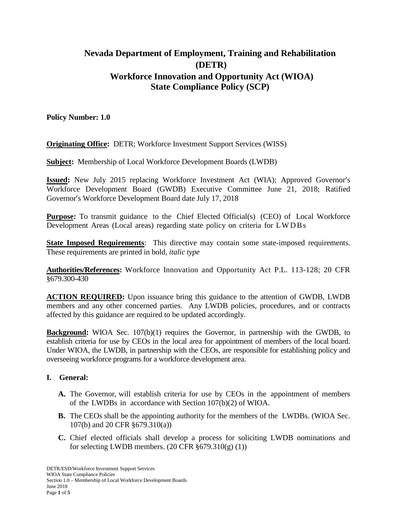# **Nevada Department of Employment, Training and Rehabilitation (DETR) Workforce Innovation and Opportunity Act (WIOA) State Compliance Policy (SCP)**

**Policy Number: 1.0**

**Originating Office:** DETR; Workforce Investment Support Services (WISS)

**Subject:** Membership of Local Workforce Development Boards (LWDB)

**Issued:** New July 2015 replacing Workforce Investment Act (WIA); Approved Governor's Workforce Development Board (GWDB) Executive Committee June 21, 2018; Ratified Governor's Workforce Development Board date July 17, 2018

**Purpose:** To transmit guidance to the Chief Elected Official(s) (CEO) of Local Workforce Development Areas (Local areas) regarding state policy on criteria for LWDBs

**State Imposed Requirements**: This directive may contain some state-imposed requirements. These requirements are printed in bold, *italic type*

**Authorities/References:** Workforce Innovation and Opportunity Act P.L. 113-128; 20 CFR §679.300-430

**ACTION REQUIRED:** Upon issuance bring this guidance to the attention of GWDB, LWDB members and any other concerned parties. Any LWDB policies, procedures, and or contracts affected by this guidance are required to be updated accordingly.

**Background:** WIOA Sec. 107(b)(1) requires the Governor, in partnership with the GWDB, to establish criteria for use by CEOs in the local area for appointment of members of the local board. Under WIOA, the LWDB, in partnership with the CEOs, are responsible for establishing policy and overseeing workforce programs for a workforce development area.

### **I. General:**

- **A.** The Governor, will establish criteria for use by CEOs in the appointment of members of the LWDBs in accordance with Section 107(b)(2) of WIOA.
- **B.** The CEOs shall be the appointing authority for the members of the LWDBs. (WIOA Sec. 107(b) and 20 CFR §679.310(a))
- **C.** Chief elected officials shall develop a process for soliciting LWDB nominations and for selecting LWDB members.  $(20 \text{ CFR } \S 679.310(g)(1))$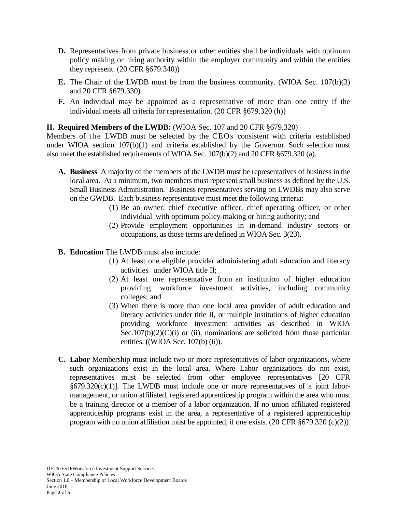- **D.** Representatives from private business or other entities shall be individuals with optimum policy making or hiring authority within the employer community and within the entities they represent. (20 CFR §679.340))
- **E.** The Chair of the LWDB must be from the business community. (WIOA Sec. 107(b)(3) and 20 CFR §679.330)
- **F.** An individual may be appointed as a representative of more than one entity if the individual meets all criteria for representation. (20 CFR §679.320 (h))

### **II. Required Members of the LWDB:** (WIOA Sec. 107 and 20 CFR §679.320)

Members of the LWDB must be selected by the CEOs consistent with criteria established under WIOA section 107(b)(1) and criteria established by the Governor. Such selection must also meet the established requirements of WIOA Sec. 107(b)(2) and 20 CFR §679.320 (a).

- **A. Business** A majority of the members of the LWDB must be representatives of business in the local area. At a minimum, two members must represent small business as defined by the U.S. Small Business Administration. Business representatives serving on LWDBs may also serve on the GWDB. Each business representative must meet the following criteria:
	- (1) Be an owner, chief executive officer, chief operating officer, or other individual with optimum policy-making or hiring authority; and
	- (2) Provide employment opportunities in in-demand industry sectors or occupations, as those terms are defined in WIOA Sec. 3(23).
- **B. Education** The LWDB must also include:
	- (1) At least one eligible provider administering adult education and literacy activities under WIOA title II;
	- (2) At least one representative from an institution of higher education providing workforce investment activities, including community colleges; and
	- (3) When there is more than one local area provider of adult education and literacy activities under title II, or multiple institutions of higher education providing workforce investment activities as described in WIOA Sec.107(b)(2)(C)(i) or (ii), nominations are solicited from those particular entities. ((WIOA Sec. 107(b) (6)).
- **C. Labor** Membership must include two or more representatives of labor organizations, where such organizations exist in the local area. Where Labor organizations do not exist, representatives must be selected from other employee representatives [20 CFR §679.320(c)(1)]. The LWDB must include one or more representatives of a joint labormanagement, or union affiliated, registered apprenticeship program within the area who must be a training director or a member of a labor organization. If no union affiliated registered apprenticeship programs exist in the area, a representative of a registered apprenticeship program with no union affiliation must be appointed, if one exists.  $(20 \text{ CFR } \S 679.320 \text{ (c)}(2))$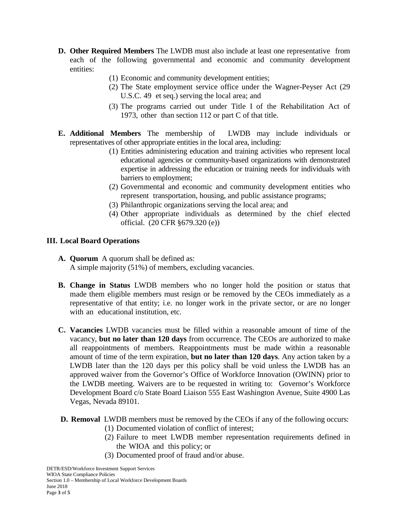- **D. Other Required Members** The LWDB must also include at least one representative from each of the following governmental and economic and community development entities:
	- (1) Economic and community development entities;
	- (2) The State employment service office under the Wagner-Peyser Act (29 U.S.C. 49 et seq.) serving the local area; and
	- (3) The programs carried out under Title I of the Rehabilitation Act of 1973, other than section 112 or part C of that title.
- **E. Additional Members** The membership of LWDB may include individuals or representatives of other appropriate entities in the local area, including:
	- (1) Entities administering education and training activities who represent local educational agencies or community-based organizations with demonstrated expertise in addressing the education or training needs for individuals with barriers to employment;
	- (2) Governmental and economic and community development entities who represent transportation, housing, and public assistance programs;
	- (3) Philanthropic organizations serving the local area; and
	- (4) Other appropriate individuals as determined by the chief elected official. (20 CFR §679.320 (e))

## **III. Local Board Operations**

- **A. Quorum** A quorum shall be defined as: A simple majority (51%) of members, excluding vacancies.
- **B. Change in Status** LWDB members who no longer hold the position or status that made them eligible members must resign or be removed by the CEOs immediately as a representative of that entity; i.e. no longer work in the private sector, or are no longer with an educational institution, etc.
- **C. Vacancies** LWDB vacancies must be filled within a reasonable amount of time of the vacancy, **but no later than 120 days** from occurrence. The CEOs are authorized to make all reappointments of members. Reappointments must be made within a reasonable amount of time of the term expiration, **but no later than 120 days**. Any action taken by a LWDB later than the 120 days per this policy shall be void unless the LWDB has an approved waiver from the Governor's Office of Workforce Innovation (OWINN) prior to the LWDB meeting. Waivers are to be requested in writing to: Governor's Workforce Development Board c/o State Board Liaison 555 East Washington Avenue, Suite 4900 Las Vegas, Nevada 89101.

### **D. Removal** LWDB members must be removed by the CEOs if any of the following occurs:

- (1) Documented violation of conflict of interest;
- (2) Failure to meet LWDB member representation requirements defined in the WIOA and this policy; or
- (3) Documented proof of fraud and/or abuse.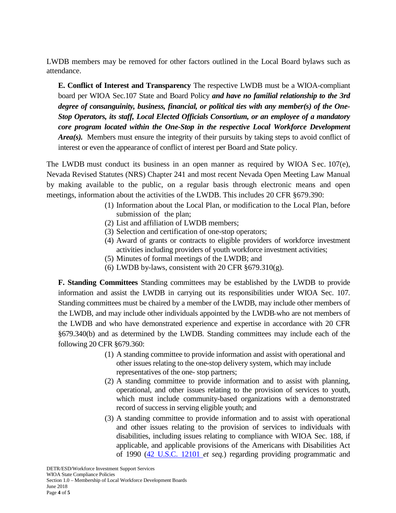LWDB members may be removed for other factors outlined in the Local Board bylaws such as attendance.

**E. Conflict of Interest and Transparency** The respective LWDB must be a WIOA-compliant board per WIOA Sec.107 State and Board Policy *and have no familial relationship to the 3rd degree of consanguinity, business, financial, or political ties with any member(s) of the One-Stop Operators, its staff, Local Elected Officials Consortium, or an employee of a mandatory core program located within the One-Stop in the respective Local Workforce Development Area(s).* Members must ensure the integrity of their pursuits by taking steps to avoid conflict of interest or even the appearance of conflict of interest per Board and State policy.

The LWDB must conduct its business in an open manner as required by WIOA S ec. 107(e), Nevada Revised Statutes (NRS) Chapter 241 and most recent Nevada Open Meeting Law Manual by making available to the public, on a regular basis through electronic means and open meetings, information about the activities of the LWDB. This includes 20 CFR §679.390:

- (1) Information about the Local Plan, or modification to the Local Plan, before submission of the plan;
- (2) List and affiliation of LWDB members;
- (3) Selection and certification of one-stop operators;
- (4) Award of grants or contracts to eligible providers of workforce investment activities including providers of youth workforce investment activities;
- (5) Minutes of formal meetings of the LWDB; and
- (6) LWDB by-laws, consistent with 20 CFR  $\S 679.310(g)$ .

**F. Standing Committees** Standing committees may be established by the LWDB to provide information and assist the LWDB in carrying out its responsibilities under WIOA Sec. 107. Standing committees must be chaired by a member of the LWDB, may include other members of the LWDB, and may include other individuals appointed by the LWDB who are not members of the LWDB and who have demonstrated experience and expertise in accordance with 20 CFR §679.340(b) and as determined by the LWDB. Standing committees may include each of the following 20 CFR §679.360:

- (1) A standing committee to provide information and assist with operational and other issues relating to the one-stop delivery system, which may include representatives of the one- stop partners;
- (2) A standing committee to provide information and to assist with planning, operational, and other issues relating to the provision of services to youth, which must include community-based organizations with a demonstrated record of success in serving eligible youth; and
- (3) A standing committee to provide information and to assist with operational and other issues relating to the provision of services to individuals with disabilities, including issues relating to compliance with WIOA Sec. 188, if applicable, and applicable provisions of the Americans with Disabilities Act of 1990 [\(42 U.S.C. 12101](http://api.fdsys.gov/link?collection=uscode&title=42&year=mostrecent&section=12101&type=usc&link-type=html) *et seq.*) regarding providing programmatic and